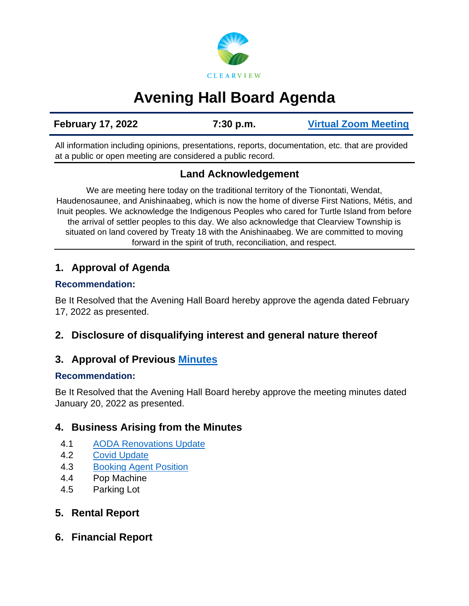

# **Avening Hall Board Agenda**

**February 17, 2022 7:30 p.m. [Virtual Zoom Meeting](https://us02web.zoom.us/j/89644865268)**

All information including opinions, presentations, reports, documentation, etc. that are provided at a public or open meeting are considered a public record.

## **Land Acknowledgement**

We are meeting here today on the traditional territory of the Tionontati, Wendat, Haudenosaunee, and Anishinaabeg, which is now the home of diverse First Nations, Métis, and Inuit peoples. We acknowledge the Indigenous Peoples who cared for Turtle Island from before the arrival of settler peoples to this day. We also acknowledge that Clearview Township is situated on land covered by Treaty 18 with the Anishinaabeg. We are committed to moving forward in the spirit of truth, reconciliation, and respect.

### **1. Approval of Agenda**

#### **Recommendation:**

Be It Resolved that the Avening Hall Board hereby approve the agenda dated February 17, 2022 as presented.

**2. Disclosure of disqualifying interest and general nature thereof** 

## **3. Approval of Previous [Minutes](https://www.clearview.ca/sites/default/files/uploads/publications/2022-01-20_avening_hall_board_minutes.pdf)**

#### **Recommendation:**

Be It Resolved that the Avening Hall Board hereby approve the meeting minutes dated January 20, 2022 as presented.

## **4. Business Arising from the Minutes**

- 4.1 [AODA Renovations Update](https://www.clearview.ca/sites/default/files/uploads/publications/20220121_-_avening_cc_-_conceptual_floor_plan.pdf)
- 4.2 [Covid Update](https://www.clearview.ca/sites/default/files/uploads/publications/2022-01-27_and_2022-02-07_covid_updates.pdf)
- 4.3 [Booking Agent Position](https://www.clearview.ca/sites/default/files/uploads/publications/avening_booking_agent_process.pdf)
- 4.4 Pop Machine
- 4.5 Parking Lot

## **5. Rental Report**

**6. Financial Report**